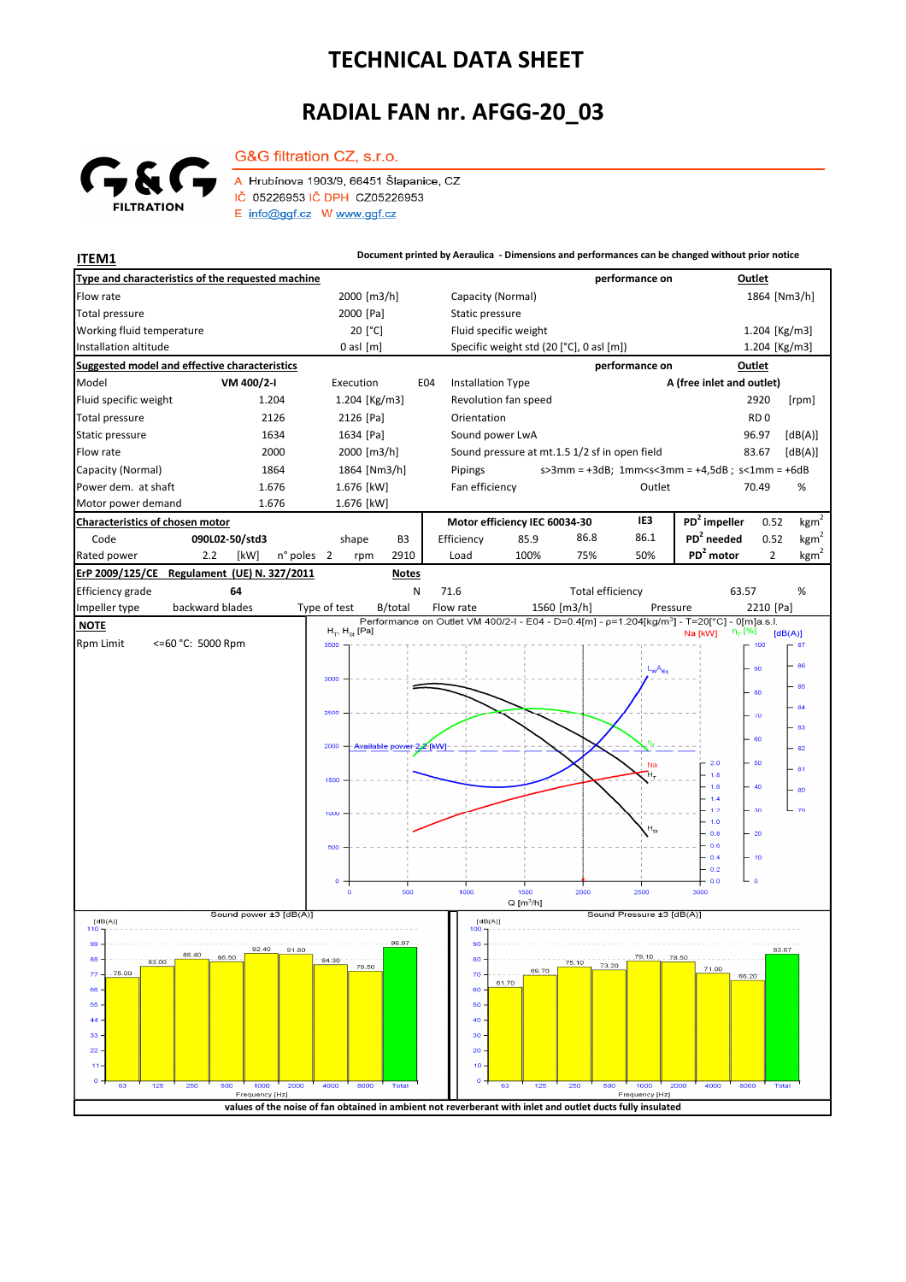## **TECHNICAL DATA SHEET**

## **RADIAL FAN nr. AFGG-20\_03**



Total pressure

G&G filtration CZ, s.r.o.

A Hrubínova 1903/9, 66451 Šlapanice, CZ IČ 05226953 IČ DPH CZ05226953  $E$  info@ggf.cz W www.ggf.cz

[°C] Fluid specific weight Flow rate 1864 [Nm3/h] 1864 [Nm3/h] 2000 [m3/h] Capacity (Normal) 2000 1864 [Nm3/h] 2000 [Pa] Static pressure **Type and characteristics of the requested machine performance on Outlet** 1.204 [Kg/m3] **ITEM1 ITEM1 Document printed by Aeraulica** - Dimensions and performances can be changed without prior notice